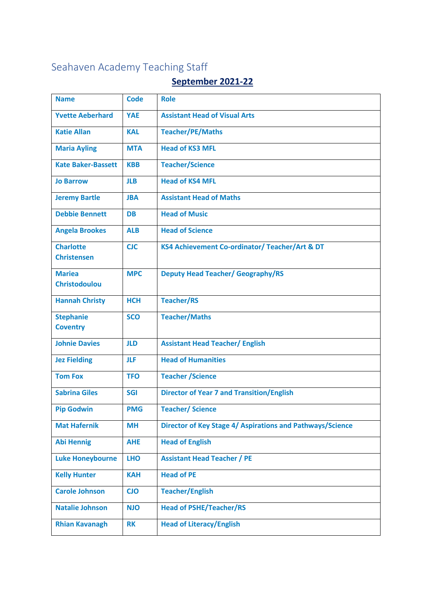## Seahaven Academy Teaching Staff

## **September 2021-22**

| <b>Name</b>                            | <b>Code</b> | <b>Role</b>                                               |
|----------------------------------------|-------------|-----------------------------------------------------------|
| <b>Yvette Aeberhard</b>                | <b>YAE</b>  | <b>Assistant Head of Visual Arts</b>                      |
| <b>Katie Allan</b>                     | <b>KAL</b>  | <b>Teacher/PE/Maths</b>                                   |
| <b>Maria Ayling</b>                    | <b>MTA</b>  | <b>Head of KS3 MFL</b>                                    |
| <b>Kate Baker-Bassett</b>              | <b>KBB</b>  | <b>Teacher/Science</b>                                    |
| <b>Jo Barrow</b>                       | <b>JLB</b>  | <b>Head of KS4 MFL</b>                                    |
| <b>Jeremy Bartle</b>                   | <b>JBA</b>  | <b>Assistant Head of Maths</b>                            |
| <b>Debbie Bennett</b>                  | <b>DB</b>   | <b>Head of Music</b>                                      |
| <b>Angela Brookes</b>                  | <b>ALB</b>  | <b>Head of Science</b>                                    |
| <b>Charlotte</b><br><b>Christensen</b> | <b>CJC</b>  | KS4 Achievement Co-ordinator/ Teacher/Art & DT            |
|                                        |             |                                                           |
| <b>Mariea</b><br><b>Christodoulou</b>  | <b>MPC</b>  | <b>Deputy Head Teacher/ Geography/RS</b>                  |
|                                        |             |                                                           |
| <b>Hannah Christy</b>                  | <b>HCH</b>  | <b>Teacher/RS</b>                                         |
| <b>Stephanie</b>                       | <b>SCO</b>  | <b>Teacher/Maths</b>                                      |
| <b>Coventry</b>                        |             |                                                           |
| <b>Johnie Davies</b>                   | <b>JLD</b>  | <b>Assistant Head Teacher/ English</b>                    |
| <b>Jez Fielding</b>                    | <b>JLF</b>  | <b>Head of Humanities</b>                                 |
| <b>Tom Fox</b>                         | <b>TFO</b>  | <b>Teacher / Science</b>                                  |
| <b>Sabrina Giles</b>                   | <b>SGI</b>  | <b>Director of Year 7 and Transition/English</b>          |
| <b>Pip Godwin</b>                      | <b>PMG</b>  | <b>Teacher/Science</b>                                    |
| <b>Mat Hafernik</b>                    | <b>MH</b>   | Director of Key Stage 4/ Aspirations and Pathways/Science |
| <b>Abi Hennig</b>                      | <b>AHE</b>  | <b>Head of English</b>                                    |
| <b>Luke Honeybourne</b>                | <b>LHO</b>  | <b>Assistant Head Teacher / PE</b>                        |
| <b>Kelly Hunter</b>                    | <b>KAH</b>  | <b>Head of PE</b>                                         |
| <b>Carole Johnson</b>                  | <b>CJO</b>  | <b>Teacher/English</b>                                    |
| <b>Natalie Johnson</b>                 | <b>NJO</b>  | <b>Head of PSHE/Teacher/RS</b>                            |
| <b>Rhian Kavanagh</b>                  | <b>RK</b>   | <b>Head of Literacy/English</b>                           |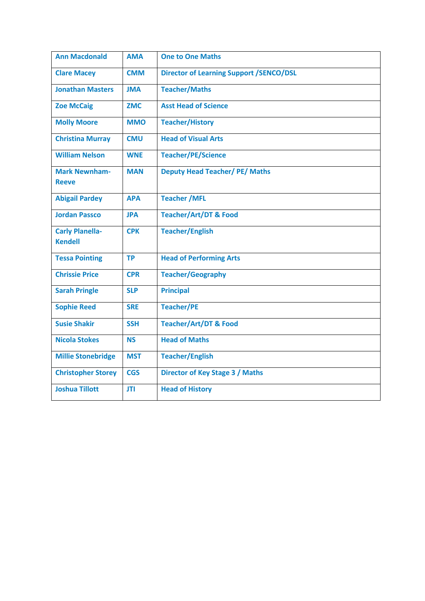| <b>Ann Macdonald</b>                     | <b>AMA</b> | <b>One to One Maths</b>                        |
|------------------------------------------|------------|------------------------------------------------|
| <b>Clare Macey</b>                       | <b>CMM</b> | <b>Director of Learning Support /SENCO/DSL</b> |
| <b>Jonathan Masters</b>                  | <b>JMA</b> | <b>Teacher/Maths</b>                           |
| <b>Zoe McCaig</b>                        | <b>ZMC</b> | <b>Asst Head of Science</b>                    |
| <b>Molly Moore</b>                       | <b>MMO</b> | <b>Teacher/History</b>                         |
| <b>Christina Murray</b>                  | <b>CMU</b> | <b>Head of Visual Arts</b>                     |
| <b>William Nelson</b>                    | <b>WNE</b> | <b>Teacher/PE/Science</b>                      |
| <b>Mark Newnham-</b><br><b>Reeve</b>     | <b>MAN</b> | <b>Deputy Head Teacher/ PE/ Maths</b>          |
| <b>Abigail Pardey</b>                    | <b>APA</b> | <b>Teacher / MFL</b>                           |
| <b>Jordan Passco</b>                     | <b>JPA</b> | <b>Teacher/Art/DT &amp; Food</b>               |
| <b>Carly Planella-</b><br><b>Kendell</b> | <b>CPK</b> | <b>Teacher/English</b>                         |
| <b>Tessa Pointing</b>                    | <b>TP</b>  | <b>Head of Performing Arts</b>                 |
| <b>Chrissie Price</b>                    | <b>CPR</b> | <b>Teacher/Geography</b>                       |
| <b>Sarah Pringle</b>                     | <b>SLP</b> | <b>Principal</b>                               |
| <b>Sophie Reed</b>                       | <b>SRE</b> | <b>Teacher/PE</b>                              |
| <b>Susie Shakir</b>                      | <b>SSH</b> | <b>Teacher/Art/DT &amp; Food</b>               |
| <b>Nicola Stokes</b>                     | <b>NS</b>  | <b>Head of Maths</b>                           |
| <b>Millie Stonebridge</b>                | <b>MST</b> | <b>Teacher/English</b>                         |
| <b>Christopher Storey</b>                | <b>CGS</b> | Director of Key Stage 3 / Maths                |
| <b>Joshua Tillott</b>                    | <b>JTI</b> | <b>Head of History</b>                         |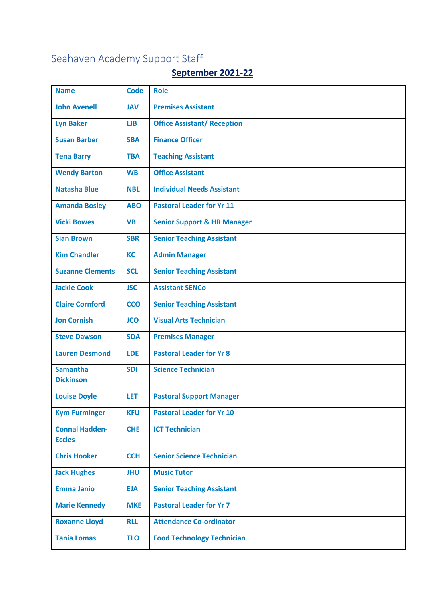## Seahaven Academy Support Staff

## **September 2021-22**

| <b>Name</b>                            | <b>Code</b> | <b>Role</b>                            |
|----------------------------------------|-------------|----------------------------------------|
| <b>John Avenell</b>                    | <b>JAV</b>  | <b>Premises Assistant</b>              |
| <b>Lyn Baker</b>                       | LJB         | <b>Office Assistant/ Reception</b>     |
| <b>Susan Barber</b>                    | <b>SBA</b>  | <b>Finance Officer</b>                 |
| <b>Tena Barry</b>                      | <b>TBA</b>  | <b>Teaching Assistant</b>              |
| <b>Wendy Barton</b>                    | <b>WB</b>   | <b>Office Assistant</b>                |
| <b>Natasha Blue</b>                    | <b>NBL</b>  | <b>Individual Needs Assistant</b>      |
| <b>Amanda Bosley</b>                   | <b>ABO</b>  | <b>Pastoral Leader for Yr 11</b>       |
| <b>Vicki Bowes</b>                     | <b>VB</b>   | <b>Senior Support &amp; HR Manager</b> |
| <b>Sian Brown</b>                      | <b>SBR</b>  | <b>Senior Teaching Assistant</b>       |
| <b>Kim Chandler</b>                    | <b>KC</b>   | <b>Admin Manager</b>                   |
| <b>Suzanne Clements</b>                | <b>SCL</b>  | <b>Senior Teaching Assistant</b>       |
| <b>Jackie Cook</b>                     | <b>JSC</b>  | <b>Assistant SENCo</b>                 |
| <b>Claire Cornford</b>                 | <b>CCO</b>  | <b>Senior Teaching Assistant</b>       |
| <b>Jon Cornish</b>                     | <b>JCO</b>  | <b>Visual Arts Technician</b>          |
| <b>Steve Dawson</b>                    | <b>SDA</b>  | <b>Premises Manager</b>                |
| <b>Lauren Desmond</b>                  | <b>LDE</b>  | <b>Pastoral Leader for Yr 8</b>        |
| <b>Samantha</b><br><b>Dickinson</b>    | <b>SDI</b>  | <b>Science Technician</b>              |
|                                        |             |                                        |
| <b>Louise Doyle</b>                    | LET         | <b>Pastoral Support Manager</b>        |
| <b>Kym Furminger</b>                   | <b>KFU</b>  | <b>Pastoral Leader for Yr 10</b>       |
| <b>Connal Hadden-</b><br><b>Eccles</b> | <b>CHE</b>  | <b>ICT Technician</b>                  |
|                                        |             |                                        |
| <b>Chris Hooker</b>                    | <b>CCH</b>  | <b>Senior Science Technician</b>       |
| <b>Jack Hughes</b>                     | <b>JHU</b>  | <b>Music Tutor</b>                     |
| <b>Emma Janio</b>                      | <b>EJA</b>  | <b>Senior Teaching Assistant</b>       |
| <b>Marie Kennedy</b>                   | <b>MKE</b>  | <b>Pastoral Leader for Yr 7</b>        |
| <b>Roxanne Lloyd</b>                   | <b>RLL</b>  | <b>Attendance Co-ordinator</b>         |
| <b>Tania Lomas</b>                     | <b>TLO</b>  | <b>Food Technology Technician</b>      |